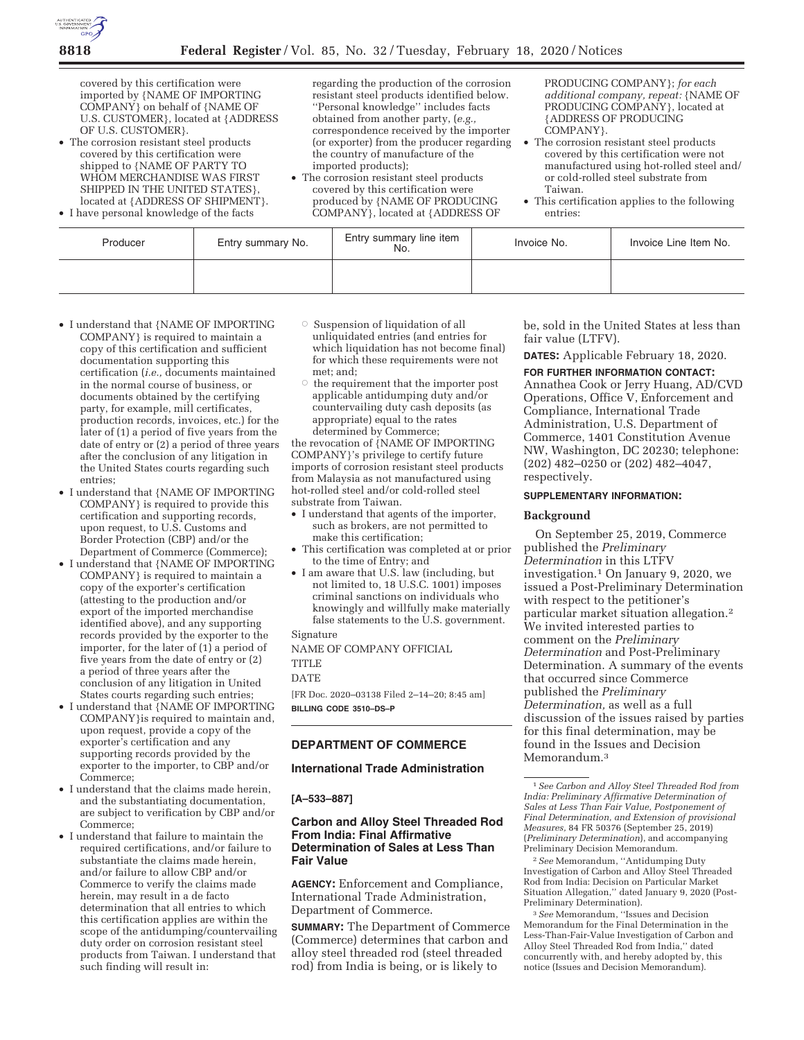

covered by this certification were imported by {NAME OF IMPORTING COMPANY} on behalf of {NAME OF U.S. CUSTOMER}, located at {ADDRESS OF U.S. CUSTOMER}.

• The corrosion resistant steel products covered by this certification were shipped to {NAME OF PARTY TO WHOM MERCHANDISE WAS FIRST SHIPPED IN THE UNITED STATES}, located at {ADDRESS OF SHIPMENT}.

• I have personal knowledge of the facts

regarding the production of the corrosion resistant steel products identified below. ''Personal knowledge'' includes facts obtained from another party, (*e.g.,*  correspondence received by the importer (or exporter) from the producer regarding the country of manufacture of the imported products);

• The corrosion resistant steel products covered by this certification were produced by {NAME OF PRODUCING COMPANY}, located at {ADDRESS OF PRODUCING COMPANY}; *for each additional company, repeat:* {NAME OF PRODUCING COMPANY}, located at {ADDRESS OF PRODUCING COMPANY}.

- The corrosion resistant steel products covered by this certification were not manufactured using hot-rolled steel and/ or cold-rolled steel substrate from Taiwan.
- This certification applies to the following entries:

| Producer | Entry summary No. | Entry summary line item<br>No. | Invoice No. | Invoice Line Item No. |
|----------|-------------------|--------------------------------|-------------|-----------------------|
|          |                   |                                |             |                       |

- I understand that {NAME OF IMPORTING COMPANY} is required to maintain a copy of this certification and sufficient documentation supporting this certification (*i.e.,* documents maintained in the normal course of business, or documents obtained by the certifying party, for example, mill certificates, production records, invoices, etc.) for the later of (1) a period of five years from the date of entry or (2) a period of three years after the conclusion of any litigation in the United States courts regarding such entries;
- I understand that {NAME OF IMPORTING COMPANY} is required to provide this certification and supporting records, upon request, to U.S. Customs and Border Protection (CBP) and/or the Department of Commerce (Commerce);
- I understand that {NAME OF IMPORTING COMPANY} is required to maintain a copy of the exporter's certification (attesting to the production and/or export of the imported merchandise identified above), and any supporting records provided by the exporter to the importer, for the later of (1) a period of five years from the date of entry or (2) a period of three years after the conclusion of any litigation in United States courts regarding such entries;
- I understand that {NAME OF IMPORTING COMPANY}is required to maintain and, upon request, provide a copy of the exporter's certification and any supporting records provided by the exporter to the importer, to CBP and/or Commerce;
- I understand that the claims made herein, and the substantiating documentation, are subject to verification by CBP and/or Commerce;
- I understand that failure to maintain the required certifications, and/or failure to substantiate the claims made herein, and/or failure to allow CBP and/or Commerce to verify the claims made herein, may result in a de facto determination that all entries to which this certification applies are within the scope of the antidumping/countervailing duty order on corrosion resistant steel products from Taiwan. I understand that such finding will result in:
- $\circ$  Suspension of liquidation of all unliquidated entries (and entries for which liquidation has not become final) for which these requirements were not met; and;
- $\circ$  the requirement that the importer post applicable antidumping duty and/or countervailing duty cash deposits (as appropriate) equal to the rates determined by Commerce;

the revocation of {NAME OF IMPORTING COMPANY}'s privilege to certify future imports of corrosion resistant steel products from Malaysia as not manufactured using hot-rolled steel and/or cold-rolled steel substrate from Taiwan.

- I understand that agents of the importer, such as brokers, are not permitted to make this certification;
- This certification was completed at or prior to the time of Entry; and
- I am aware that U.S. law (including, but not limited to, 18 U.S.C. 1001) imposes criminal sanctions on individuals who knowingly and willfully make materially false statements to the U.S. government.

# Signature

NAME OF COMPANY OFFICIAL

[FR Doc. 2020–03138 Filed 2–14–20; 8:45 am] **BILLING CODE 3510–DS–P** 

# **DEPARTMENT OF COMMERCE**

## **International Trade Administration**

**[A–533–887]** 

# **Carbon and Alloy Steel Threaded Rod From India: Final Affirmative Determination of Sales at Less Than Fair Value**

**AGENCY:** Enforcement and Compliance, International Trade Administration, Department of Commerce.

**SUMMARY:** The Department of Commerce (Commerce) determines that carbon and alloy steel threaded rod (steel threaded rod) from India is being, or is likely to

be, sold in the United States at less than fair value (LTFV).

**DATES:** Applicable February 18, 2020.

**FOR FURTHER INFORMATION CONTACT:**  Annathea Cook or Jerry Huang, AD/CVD Operations, Office V, Enforcement and Compliance, International Trade Administration, U.S. Department of Commerce, 1401 Constitution Avenue NW, Washington, DC 20230; telephone: (202) 482–0250 or (202) 482–4047, respectively.

## **SUPPLEMENTARY INFORMATION:**

## **Background**

On September 25, 2019, Commerce published the *Preliminary Determination* in this LTFV investigation.1 On January 9, 2020, we issued a Post-Preliminary Determination with respect to the petitioner's particular market situation allegation.2 We invited interested parties to comment on the *Preliminary Determination* and Post-Preliminary Determination. A summary of the events that occurred since Commerce published the *Preliminary Determination,* as well as a full discussion of the issues raised by parties for this final determination, may be found in the Issues and Decision Memorandum.3

2*See* Memorandum, ''Antidumping Duty Investigation of Carbon and Alloy Steel Threaded Rod from India: Decision on Particular Market Situation Allegation,'' dated January 9, 2020 (Post-Preliminary Determination).

3*See* Memorandum, ''Issues and Decision Memorandum for the Final Determination in the Less-Than-Fair-Value Investigation of Carbon and Alloy Steel Threaded Rod from India,'' dated concurrently with, and hereby adopted by, this notice (Issues and Decision Memorandum).

**TITLE** DATE

<sup>1</sup>*See Carbon and Alloy Steel Threaded Rod from India: Preliminary Affirmative Determination of Sales at Less Than Fair Value, Postponement of Final Determination, and Extension of provisional Measures,* 84 FR 50376 (September 25, 2019) (*Preliminary Determination*), and accompanying Preliminary Decision Memorandum.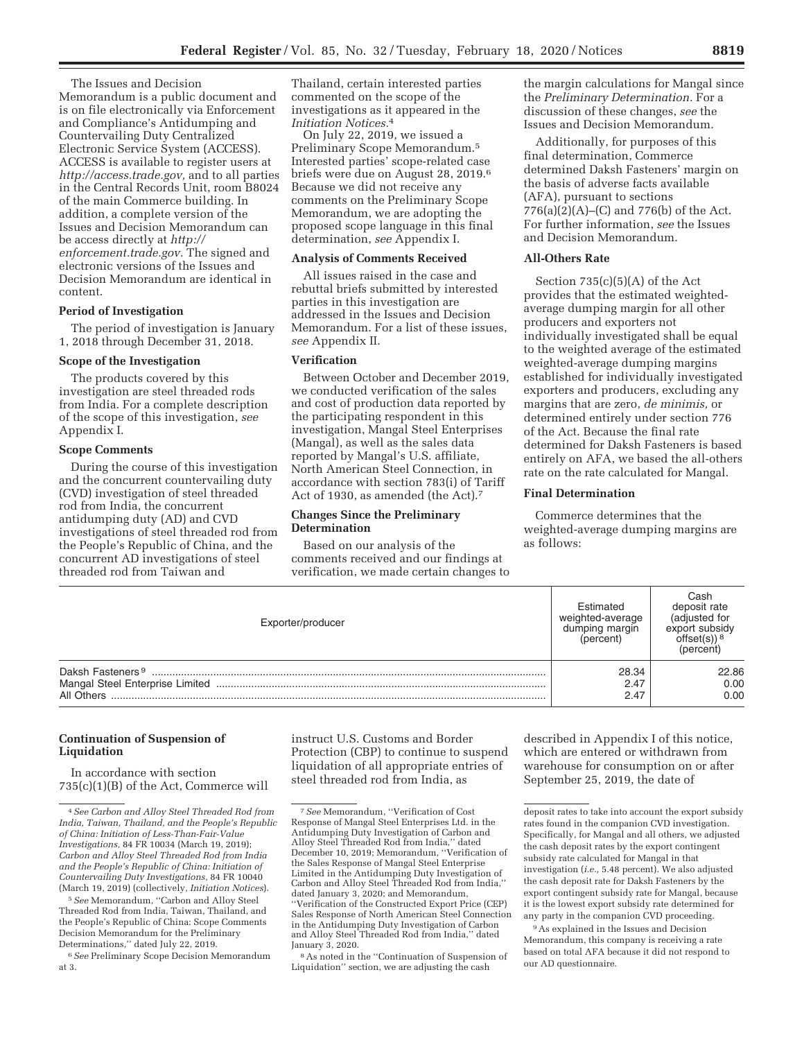The Issues and Decision Memorandum is a public document and is on file electronically via Enforcement and Compliance's Antidumping and Countervailing Duty Centralized Electronic Service System (ACCESS). ACCESS is available to register users at *http://access.trade.gov,* and to all parties in the Central Records Unit, room B8024 of the main Commerce building. In addition, a complete version of the Issues and Decision Memorandum can be access directly at *http:// enforcement.trade.gov.* The signed and electronic versions of the Issues and Decision Memorandum are identical in content.

## **Period of Investigation**

The period of investigation is January 1, 2018 through December 31, 2018.

#### **Scope of the Investigation**

The products covered by this investigation are steel threaded rods from India. For a complete description of the scope of this investigation, *see*  Appendix I.

## **Scope Comments**

During the course of this investigation and the concurrent countervailing duty (CVD) investigation of steel threaded rod from India, the concurrent antidumping duty (AD) and CVD investigations of steel threaded rod from the People's Republic of China, and the concurrent AD investigations of steel threaded rod from Taiwan and

Thailand, certain interested parties commented on the scope of the investigations as it appeared in the *Initiation Notices.*4

On July 22, 2019, we issued a Preliminary Scope Memorandum.5 Interested parties' scope-related case briefs were due on August 28, 2019.6 Because we did not receive any comments on the Preliminary Scope Memorandum, we are adopting the proposed scope language in this final determination, *see* Appendix I.

## **Analysis of Comments Received**

All issues raised in the case and rebuttal briefs submitted by interested parties in this investigation are addressed in the Issues and Decision Memorandum. For a list of these issues, *see* Appendix II.

## **Verification**

Between October and December 2019, we conducted verification of the sales and cost of production data reported by the participating respondent in this investigation, Mangal Steel Enterprises (Mangal), as well as the sales data reported by Mangal's U.S. affiliate, North American Steel Connection, in accordance with section 783(i) of Tariff Act of 1930, as amended (the Act).7

## **Changes Since the Preliminary Determination**

Based on our analysis of the comments received and our findings at verification, we made certain changes to the margin calculations for Mangal since the *Preliminary Determination.* For a discussion of these changes, *see* the Issues and Decision Memorandum.

Additionally, for purposes of this final determination, Commerce determined Daksh Fasteners' margin on the basis of adverse facts available (AFA), pursuant to sections 776(a)(2)(A)–(C) and 776(b) of the Act. For further information, *see* the Issues and Decision Memorandum.

## **All-Others Rate**

Section 735(c)(5)(A) of the Act provides that the estimated weightedaverage dumping margin for all other producers and exporters not individually investigated shall be equal to the weighted average of the estimated weighted-average dumping margins established for individually investigated exporters and producers, excluding any margins that are zero, *de minimis,* or determined entirely under section 776 of the Act. Because the final rate determined for Daksh Fasteners is based entirely on AFA, we based the all-others rate on the rate calculated for Mangal.

## **Final Determination**

Commerce determines that the weighted-average dumping margins are as follows:

| Exporter/producer                          | Estimated<br>weighted-average<br>dumping margin<br>(percent) | Cash<br>deposit rate<br>(adjusted for<br>export subsidy<br>(nercent) |  |
|--------------------------------------------|--------------------------------------------------------------|----------------------------------------------------------------------|--|
| Daksh Fasteners <sup>9</sup><br>All Others | 28.34<br>2.47<br>2.47                                        | 22.86<br>0.00<br>0.00                                                |  |

## **Continuation of Suspension of Liquidation**

In accordance with section 735(c)(1)(B) of the Act, Commerce will

6*See* Preliminary Scope Decision Memorandum at 3.

instruct U.S. Customs and Border Protection (CBP) to continue to suspend liquidation of all appropriate entries of steel threaded rod from India, as

8As noted in the ''Continuation of Suspension of Liquidation'' section, we are adjusting the cash

described in Appendix I of this notice, which are entered or withdrawn from warehouse for consumption on or after September 25, 2019, the date of

9As explained in the Issues and Decision Memorandum, this company is receiving a rate based on total AFA because it did not respond to our AD questionnaire.

<sup>4</sup>*See Carbon and Alloy Steel Threaded Rod from India, Taiwan, Thailand, and the People's Republic of China: Initiation of Less-Than-Fair-Value Investigations,* 84 FR 10034 (March 19, 2019); *Carbon and Alloy Steel Threaded Rod from India and the People's Republic of China: Initiation of Countervailing Duty Investigations,* 84 FR 10040 (March 19, 2019) (collectively, *Initiation Notices*).

<sup>5</sup>*See* Memorandum, ''Carbon and Alloy Steel Threaded Rod from India, Taiwan, Thailand, and the People's Republic of China: Scope Comments Decision Memorandum for the Preliminary Determinations,'' dated July 22, 2019.

<sup>7</sup>*See* Memorandum, ''Verification of Cost Response of Mangal Steel Enterprises Ltd. in the Antidumping Duty Investigation of Carbon and Alloy Steel Threaded Rod from India,'' dated December 10, 2019; Memorandum, ''Verification of the Sales Response of Mangal Steel Enterprise Limited in the Antidumping Duty Investigation of Carbon and Alloy Steel Threaded Rod from India,'' dated January 3, 2020; and Memorandum, ''Verification of the Constructed Export Price (CEP) Sales Response of North American Steel Connection in the Antidumping Duty Investigation of Carbon and Alloy Steel Threaded Rod from India,'' dated January 3, 2020.

deposit rates to take into account the export subsidy rates found in the companion CVD investigation. Specifically, for Mangal and all others, we adjusted the cash deposit rates by the export contingent subsidy rate calculated for Mangal in that investigation (*i.e.,* 5.48 percent). We also adjusted the cash deposit rate for Daksh Fasteners by the export contingent subsidy rate for Mangal, because it is the lowest export subsidy rate determined for any party in the companion CVD proceeding.